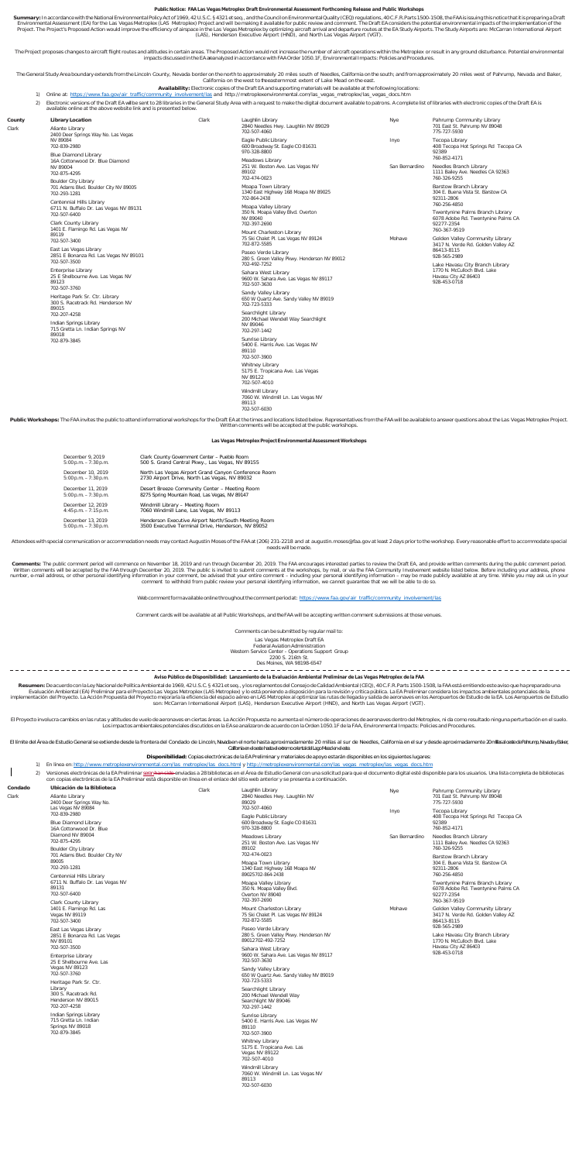## **Public Notice: FAA Las Vegas Metroplex Draft Environmental Assessment Forthcoming Release and Public Workshops**

Summary: In accordance with the National Environmental Policy Act of 1969, 42U.S.C. § 4321 et seq., and the Council on Environmental Quality (CEQ) regulations, 40 C.F.R. Parts 1500-1508, the FAA is issuing this notice that Environmental Assessment (EA) for the Las Vegas Metroplex (LAS Metroplex) Project and will be making it available for public review and comment. The Draft EA considers the potential environmental impacts of the implementat (LAS), Henderson Executive Airport (HND), and North Las Vegas Airport (VGT).

The Project proposes changes to aircraft flight routes and altitudes in certain areas. The Proposed Action would not increase the number of aircraft operations within the Metroplex or result in any ground disturbance. Pote impacts discussed inthe EA areanalyzed in accordance with FAAOrder 1050.1F, EnvironmentalImpacts: Policies and Procedures.

,The General Study Area boundary extends from the Lincoln County, Nevada border on the north to approximately 20 miles south of Needles, California on the south; and from approximately 20 miles west of Pahrump, Nevada and

- 
- .**Availability:** Electronic copies of the Draft EA and supporting materials will be available at the following locations:<br>Online at: <u>https://www.faa.gov/air\_traffic/community\_involvement/las</u> and\_http://metroplexenvironme
- 2) Electronic versions of the Draft EA wil be sent to 28 libraries in the General Study Area with a request to make the digital document available to patrons. A complete list of libraries with electronic copies of the Draf available online at the above website link and is presented below.

Public Workshops: The FAA invites the public to attend informational workshops for the Draft EA at the times and locations listed below. Representatives from the FAA will be available to answer questions about the Las Vega Written comments will be accepted at the public workshops.

Attendees with special communication or accommodation needs may contact Augustin Moses of the FAA at (206) 231-2218 and at augustin.moses@faa.gov at least 2 days prior to the workshop. Every reasonable effort to accommodat needs will be made.

| County | <b>Library Location</b>                                                                                                                                                         | Clark | Laughlin Library                                                                                                                                                                                                                                                                                                                                            | Nye                                                                             | Pahrump Community Library                                                                                                                                                                                                                                                                                                                                                                                                 |
|--------|---------------------------------------------------------------------------------------------------------------------------------------------------------------------------------|-------|-------------------------------------------------------------------------------------------------------------------------------------------------------------------------------------------------------------------------------------------------------------------------------------------------------------------------------------------------------------|---------------------------------------------------------------------------------|---------------------------------------------------------------------------------------------------------------------------------------------------------------------------------------------------------------------------------------------------------------------------------------------------------------------------------------------------------------------------------------------------------------------------|
| Clark  | Aliante Library<br>2400 Deer Springs Way No. Las Vegas<br>NV 89084<br>702-839-2980                                                                                              |       | 2840 Needles Hwy. Laughlin NV 89029<br>702-507-4060                                                                                                                                                                                                                                                                                                         |                                                                                 | 701 East St. Pahrump NV 89048<br>775-727-5930                                                                                                                                                                                                                                                                                                                                                                             |
|        |                                                                                                                                                                                 |       | Eagle Public Library<br>600 Broadway St. Eagle CO 81631<br>970-328-8800<br>Meadows Library<br>251 W. Boston Ave. Las Vegas NV<br>89102<br>702-474-0023                                                                                                                                                                                                      | Inyo<br>San Bernardino                                                          | Tecopa Library<br>408 Tecopa Hot Springs Rd Tecopa CA<br>92389<br>760-852-4171                                                                                                                                                                                                                                                                                                                                            |
|        | <b>Blue Diamond Library</b><br>16A Cottonwood Dr. Blue Diamond                                                                                                                  |       |                                                                                                                                                                                                                                                                                                                                                             |                                                                                 |                                                                                                                                                                                                                                                                                                                                                                                                                           |
|        | NV 89004<br>702-875-4295                                                                                                                                                        |       |                                                                                                                                                                                                                                                                                                                                                             |                                                                                 | Needles Branch Library<br>1111 Bailey Ave. Needles CA 92363<br>760-326-9255                                                                                                                                                                                                                                                                                                                                               |
|        | <b>Boulder City Library</b><br>701 Adams Blvd. Boulder City NV 89005<br>702-293-1281                                                                                            |       | Moapa Town Library<br>1340 East Highway 168 Moapa NV 89025<br>702-864-2438                                                                                                                                                                                                                                                                                  |                                                                                 | <b>Barstow Branch Library</b><br>304 E. Buena Vista St. Barstow CA<br>92311-2806<br>760-256-4850<br>Twentynine Palms Branch Library<br>6078 Adobe Rd. Twentynine Palms CA<br>92277-2354<br>760-367-9519<br>Golden Valley Community Library<br>3417 N. Verde Rd. Golden Valley AZ<br>86413-8115<br>928-565-2989<br>Lake Havasu City Branch Library<br>1770 N. McCulloch Blvd. Lake<br>Havasu City AZ 86403<br>928-453-0718 |
|        | Centennial Hills Library<br>6711 N. Buffalo Dr. Las Vegas NV 89131<br>702-507-6400<br><b>Clark County Library</b><br>1401 E. Flamingo Rd. Las Vegas NV<br>89119<br>702-507-3400 |       | Moapa Valley Library<br>350 N. Moapa Valley Blvd. Overton<br>NV 89040<br>702-397-2690<br>Mount Charleston Library<br>75 Ski Chalet Pl. Las Vegas NV 89124<br>Mohave<br>702-872-5585<br>Paseo Verde Library<br>280 S. Green Valley Pkwy. Henderson NV 89012<br>702-492-7252<br>Sahara West Library<br>9600 W. Sahara Ave. Las Vegas NV 89117<br>702-507-3630 |                                                                                 |                                                                                                                                                                                                                                                                                                                                                                                                                           |
|        |                                                                                                                                                                                 |       |                                                                                                                                                                                                                                                                                                                                                             |                                                                                 |                                                                                                                                                                                                                                                                                                                                                                                                                           |
|        |                                                                                                                                                                                 |       |                                                                                                                                                                                                                                                                                                                                                             | East Las Vegas Library<br>2851 E Bonanza Rd. Las Vegas NV 89101<br>702-507-3500 |                                                                                                                                                                                                                                                                                                                                                                                                                           |
|        | <b>Enterprise Library</b><br>25 E Shelbourne Ave. Las Vegas NV<br>89123<br>702-507-3760                                                                                         |       |                                                                                                                                                                                                                                                                                                                                                             |                                                                                 |                                                                                                                                                                                                                                                                                                                                                                                                                           |
|        | Heritage Park Sr. Ctr. Library<br>300 S. Racetrack Rd. Henderson NV<br>89015                                                                                                    |       |                                                                                                                                                                                                                                                                                                                                                             | Sandy Valley Library<br>650 W Quartz Ave. Sandy Valley NV 89019<br>702-723-5333 |                                                                                                                                                                                                                                                                                                                                                                                                                           |
|        | 702-207-4258<br>Indian Springs Library<br>715 Gretta Ln. Indian Springs NV<br>89018<br>702-879-3845                                                                             |       | Searchlight Library<br>200 Michael Wendell Way Searchlight<br>NV 89046<br>702-297-1442                                                                                                                                                                                                                                                                      |                                                                                 |                                                                                                                                                                                                                                                                                                                                                                                                                           |
|        |                                                                                                                                                                                 |       | Sunrise Library<br>5400 E. Harris Ave. Las Vegas NV<br>89110<br>702-507-3900                                                                                                                                                                                                                                                                                |                                                                                 |                                                                                                                                                                                                                                                                                                                                                                                                                           |
|        |                                                                                                                                                                                 |       | <b>Whitney Library</b><br>5175 E. Tropicana Ave. Las Vegas<br>NV 89122<br>702-507-4010                                                                                                                                                                                                                                                                      |                                                                                 |                                                                                                                                                                                                                                                                                                                                                                                                                           |

Comments: The public comment period will commence on November 18, 2019 and run through December 20, 2019. The FAA encourages interested parties to review the Draft EA, and provide written comments during the public comment comment to withhold from public review your personal identifying information, we cannot guarantee that we will be able to do so.

Webcomment formavailable online throughout the comment period at: [https://www.faa.gov/air\\_traffic/community\\_involvement/las](https://www.faa.gov/air_traffic/community_involvement/las)

Windmill Library 7060 W. Windmill Ln. Las Vegas NV

89113 702-507-6030

El Proyecto involucra cambios en las rutas y altitudes de vuelo de aeronaves en ciertas áreas. La Acción Propuesta no aumenta el número de operaciones de aeronaves dentro del Metroplex, ni da como resultado ninguna perturb Los impactos ambientales potenciales discutidos en la EA se analizaron de acuerdo con la Orden 1050.1F de la FAA, EnvironmentalImpacts: Policies and Procedures.

El límite del Area de Estudio General se extiende desde la frontera del Condado de Lincoln, Nexada en el norte hasta aproximadamente 20 millas al sur de Needles, California en el sur y desde aproximadamente 20 millas al ce

- 1) En línea en: http://www.metroplexenvironmental.com/las\_metroplex/las\_docs.html y http://metroplexenvironmental.com/las\_vegas\_metroplexenvironmental.com/las\_vegas\_me
- 2) Versiones electrónicas de la EA Preliminar seranhan sido enviadas a 28 bibliotecas en el Área de Estudio General con una solicitud para que el documento digital esté disponible para los usuarios. Una lista completa de b con copias electrónicas de la EA Preliminar está disponible en línea en el enlace del sitio web anterior y se presenta a continuación.

## **Las Vegas Metroplex Project Environmental Assessment Workshops**

| December 9, 2019         | Clark County Government Center - Pueblo Room         |
|--------------------------|------------------------------------------------------|
| $5:00 p.m. -7:30 p.m.$   | 500 S. Grand Central Pkwy., Las Vegas, NV 89155      |
| December 10, 2019        | North Las Vegas Airport Grand Canyon Conference Room |
| $5:00$ p.m. $-7:30$ p.m. | 2730 Airport Drive, North Las Vegas, NV 89032        |
| December 11, 2019        | Desert Breeze Community Center - Meeting Room        |
| $5:00$ p.m. $-7:30$ p.m. | 8275 Spring Mountain Road, Las Vegas, NV 89147       |
| December 12, 2019        | Windmill Library - Meeting Room                      |
| $4:45$ p.m. $-7:15$ p.m. | 7060 Windmill Lane, Las Vegas, NV 89113              |
| December 13, 2019        | Henderson Executive Airport North/South Meeting Room |
| $5:00$ p.m. $-7:30$ p.m. | 3500 Executive Terminal Drive, Henderson, NV 89052   |

 $\overline{\phantom{a}}$ 

Comment cards will be available at all Public Workshops, and the FAA will be accepting written comment submissions at those venues.

Comments can be submitted by regular mail to: Las Vegas Metroplex Draft EA Federal Aviation Administration Western Service Center - Operations Support Group 2200 S. 216th St. Des Moines, WA 98198-6547

 $- - - - - - - - - -$ Aviso Público de Disponibilidad: Lanzamiento de la Evaluación Ambiental Preliminar de Las Vegas Metroplex de la FAA

Resumen: De acuerdo con la Ley Nacional de Política Ambiental de 1969, 42 U.S.C. § 4321 et seq., y los reglamentos del Consejo de Calidad Ambiental (CEQ), 40 C.F.R.Parts 1500-1508, la FAA está emitiendo este aviso que ha p Evaluación Ambiental (EA) Preliminar para el Proyecto Las Vegas Metroplex (LAS Metroplex) y lo está poniendo a disposición para la revisión y crítica pública. La EA Preliminar considera los impactos ambientales potenciales

## **Disponibilidad:** Copias electrónicas de la EA Preliminar y materiales de apoyo estarán disponibles en los siguientes lugares:

| Condado | Ubicación de la Biblioteca                                                                                                                                                                                      | Clark | Laughlin Library                                                                                                                                                    | Nye                      | Pahrump Community Library                                                                                               |
|---------|-----------------------------------------------------------------------------------------------------------------------------------------------------------------------------------------------------------------|-------|---------------------------------------------------------------------------------------------------------------------------------------------------------------------|--------------------------|-------------------------------------------------------------------------------------------------------------------------|
| Clark   | Aliante Library<br>2400 Deer Springs Way No.<br>Las Vegas NV 89084<br>702-839-2980<br><b>Blue Diamond Library</b><br>16A Cottonwood Dr. Blue<br>Diamond NV 89004<br>702-875-4295<br><b>Boulder City Library</b> |       | 2840 Needles Hwy. Laughlin NV<br>89029                                                                                                                              |                          | 701 East St. Pahrump NV 89048<br>775-727-5930                                                                           |
|         |                                                                                                                                                                                                                 |       | 702-507-4060<br>Eagle Public Library<br>600 Broadway St. Eagle CO 81631<br>970-328-8800                                                                             | Inyo                     | Tecopa Library<br>408 Tecopa Hot Springs Rd Tecopa CA<br>92389<br>760-852-4171                                          |
|         |                                                                                                                                                                                                                 |       | Meadows Library<br>251 W. Boston Ave. Las Vegas NV<br>89102<br>702-474-0023<br>Moapa Town Library<br>1340 East Highway 168 Moapa NV<br>89025702-864-2438            | San Bernardino<br>Mohave | Needles Branch Library<br>1111 Bailey Ave. Needles CA 92363<br>760-326-9255                                             |
|         | 701 Adams Blvd. Boulder City NV<br>89005<br>702-293-1281                                                                                                                                                        |       |                                                                                                                                                                     |                          | Barstow Branch Library<br>304 E. Buena Vista St. Barstow CA<br>92311-2806<br>760-256-4850                               |
|         | Centennial Hills Library<br>6711 N. Buffalo Dr. Las Vegas NV<br>89131<br>702-507-6400                                                                                                                           |       | Moapa Valley Library<br>350 N. Moapa Valley Blvd.<br>Overton NV 89040<br>702-397-2690                                                                               |                          | Twentynine Palms Branch Library<br>6078 Adobe Rd. Twentynine Palms CA<br>92277-2354<br>760-367-9519                     |
|         | Clark County Library<br>1401 E. Flamingo Rd. Las<br>Vegas NV 89119<br>702-507-3400                                                                                                                              |       | Mount Charleston Library<br>75 Ski Chalet Pl. Las Vegas NV 89124<br>702-872-5585                                                                                    |                          | Golden Valley Community Library<br>3417 N. Verde Rd. Golden Valley AZ<br>86413-8115                                     |
|         | East Las Vegas Library<br>2851 E Bonanza Rd. Las Vegas<br>NV 89101                                                                                                                                              |       | Paseo Verde Library<br>280 S. Green Valley Pkwy. Henderson NV<br>89012702-492-7252<br>Sahara West Library<br>9600 W. Sahara Ave. Las Vegas NV 89117<br>702-507-3630 |                          | 928-565-2989<br>Lake Havasu City Branch Library<br>1770 N. McCulloch Blvd. Lake<br>Havasu City AZ 86403<br>928-453-0718 |
|         | 702-507-3500<br><b>Enterprise Library</b><br>25 E Shelbourne Ave. Las<br>Vegas NV 89123<br>702-507-3760<br>Heritage Park Sr. Ctr.                                                                               |       |                                                                                                                                                                     |                          |                                                                                                                         |
|         |                                                                                                                                                                                                                 |       | Sandy Valley Library<br>650 W Quartz Ave. Sandy Valley NV 89019<br>702-723-5333                                                                                     |                          |                                                                                                                         |
|         | Library<br>300 S. Racetrack Rd.<br>Henderson NV 89015<br>702-207-4258                                                                                                                                           |       | Searchlight Library<br>200 Michael Wendell Way<br>Searchlight NV 89046<br>702-297-1442                                                                              |                          |                                                                                                                         |
|         | Indian Springs Library<br>715 Gretta Ln. Indian<br>Springs NV 89018<br>702-879-3845                                                                                                                             |       | Sunrise Library<br>5400 E. Harris Ave. Las Vegas NV<br>89110<br>702-507-3900                                                                                        |                          |                                                                                                                         |
|         |                                                                                                                                                                                                                 |       | <b>Whitney Library</b><br>5175 E. Tropicana Ave. Las<br>Vegas NV 89122<br>702-507-4010                                                                              |                          |                                                                                                                         |
|         |                                                                                                                                                                                                                 |       | Windmill Library<br>7060 W. Windmill Ln. Las Vegas NV<br>89113<br>702-507-6030                                                                                      |                          |                                                                                                                         |